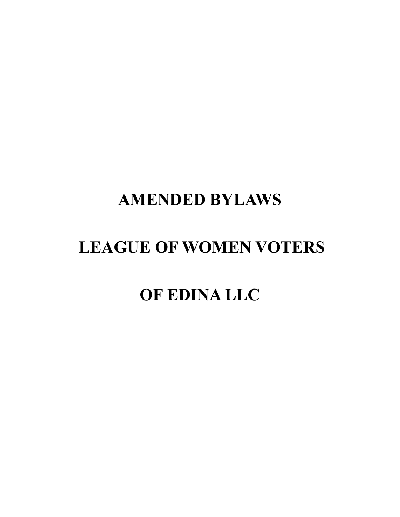# **AMENDED BYLAWS**

# **LEAGUE OF WOMEN VOTERS**

# **OF EDINA LLC**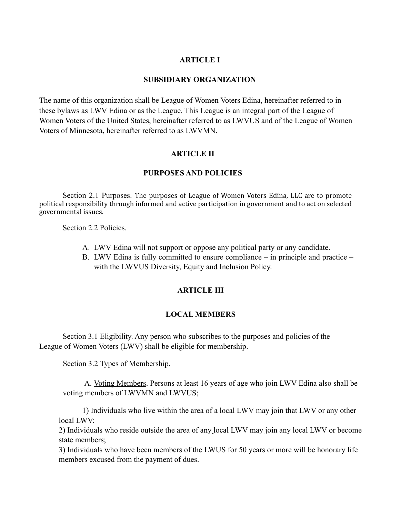# **ARTICLE I**

### **SUBSIDIARY ORGANIZATION**

The name of this organization shall be League of Women Voters Edina, hereinafter referred to in these bylaws as LWV Edina or as the League. This League is an integral part of the League of Women Voters of the United States, hereinafter referred to as LWVUS and of the League of Women Voters of Minnesota, hereinafter referred to as LWVMN.

# **ARTICLE II**

# **PURPOSES AND POLICIES**

Section 2.1 Purposes. The purposes of League of Women Voters Edina, LLC are to promote political responsibility through informed and active participation in government and to act on selected governmental issues.

Section 2.2 Policies.

- A. LWV Edina will not support or oppose any political party or any candidate.
- B. LWV Edina is fully committed to ensure compliance in principle and practice with the LWVUS Diversity, Equity and Inclusion Policy.

#### **ARTICLE III**

#### **LOCAL MEMBERS**

Section 3.1 Eligibility. Any person who subscribes to the purposes and policies of the League of Women Voters (LWV) shall be eligible for membership.

Section 3.2 Types of Membership.

A. Voting Members. Persons at least 16 years of age who join LWV Edina also shall be voting members of LWVMN and LWVUS;

1) Individuals who live within the area of a local LWV may join that LWV or any other local LWV;

2) Individuals who reside outside the area of any local LWV may join any local LWV or become state members;

3) Individuals who have been members of the LWUS for 50 years or more will be honorary life members excused from the payment of dues.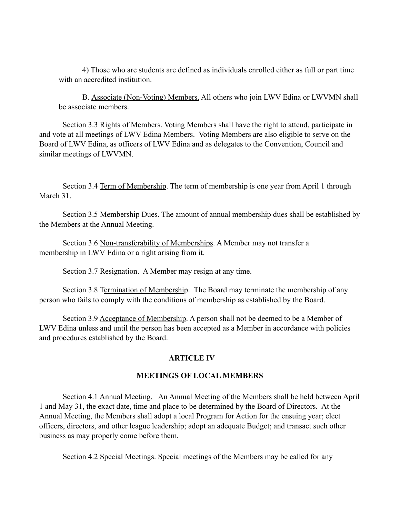4) Those who are students are defined as individuals enrolled either as full or part time with an accredited institution.

B. Associate (Non-Voting) Members. All others who join LWV Edina or LWVMN shall be associate members.

Section 3.3 Rights of Members. Voting Members shall have the right to attend, participate in and vote at all meetings of LWV Edina Members. Voting Members are also eligible to serve on the Board of LWV Edina, as officers of LWV Edina and as delegates to the Convention, Council and similar meetings of LWVMN.

Section 3.4 Term of Membership. The term of membership is one year from April 1 through March 31.

Section 3.5 Membership Dues. The amount of annual membership dues shall be established by the Members at the Annual Meeting.

Section 3.6 Non-transferability of Memberships. A Member may not transfer a membership in LWV Edina or a right arising from it.

Section 3.7 Resignation. A Member may resign at any time.

Section 3.8 Termination of Membership. The Board may terminate the membership of any person who fails to comply with the conditions of membership as established by the Board.

Section 3.9 Acceptance of Membership. A person shall not be deemed to be a Member of LWV Edina unless and until the person has been accepted as a Member in accordance with policies and procedures established by the Board.

# **ARTICLE IV**

# **MEETINGS OF LOCAL MEMBERS**

Section 4.1 Annual Meeting. An Annual Meeting of the Members shall be held between April 1 and May 31, the exact date, time and place to be determined by the Board of Directors. At the Annual Meeting, the Members shall adopt a local Program for Action for the ensuing year; elect officers, directors, and other league leadership; adopt an adequate Budget; and transact such other business as may properly come before them.

Section 4.2 Special Meetings. Special meetings of the Members may be called for any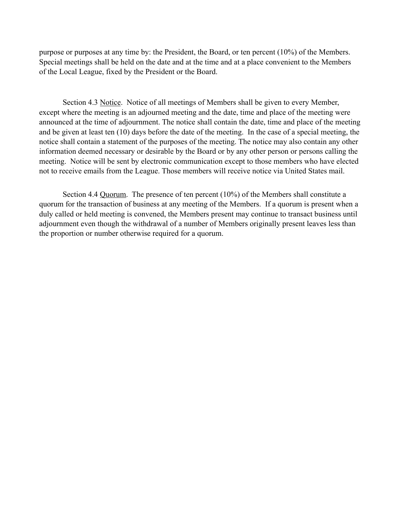purpose or purposes at any time by: the President, the Board, or ten percent (10%) of the Members. Special meetings shall be held on the date and at the time and at a place convenient to the Members of the Local League, fixed by the President or the Board.

Section 4.3 Notice. Notice of all meetings of Members shall be given to every Member, except where the meeting is an adjourned meeting and the date, time and place of the meeting were announced at the time of adjournment. The notice shall contain the date, time and place of the meeting and be given at least ten (10) days before the date of the meeting. In the case of a special meeting, the notice shall contain a statement of the purposes of the meeting. The notice may also contain any other information deemed necessary or desirable by the Board or by any other person or persons calling the meeting. Notice will be sent by electronic communication except to those members who have elected not to receive emails from the League. Those members will receive notice via United States mail.

Section 4.4 Quorum. The presence of ten percent (10%) of the Members shall constitute a quorum for the transaction of business at any meeting of the Members. If a quorum is present when a duly called or held meeting is convened, the Members present may continue to transact business until adjournment even though the withdrawal of a number of Members originally present leaves less than the proportion or number otherwise required for a quorum.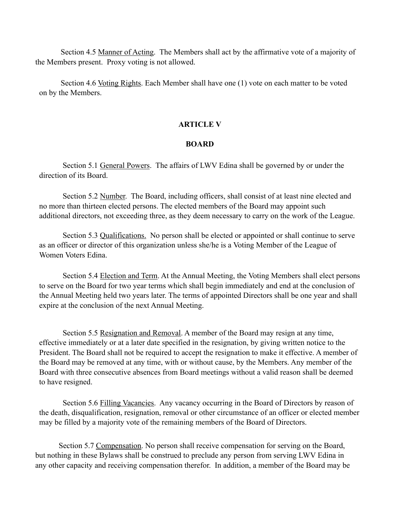Section 4.5 Manner of Acting. The Members shall act by the affirmative vote of a majority of the Members present. Proxy voting is not allowed.

 Section 4.6 Voting Rights. Each Member shall have one (1) vote on each matter to be voted on by the Members.

#### **ARTICLE V**

# **BOARD**

Section 5.1 General Powers. The affairs of LWV Edina shall be governed by or under the direction of its Board.

Section 5.2 Number. The Board, including officers, shall consist of at least nine elected and no more than thirteen elected persons. The elected members of the Board may appoint such additional directors, not exceeding three, as they deem necessary to carry on the work of the League.

Section 5.3 Qualifications. No person shall be elected or appointed or shall continue to serve as an officer or director of this organization unless she/he is a Voting Member of the League of Women Voters Edina.

Section 5.4 Election and Term. At the Annual Meeting, the Voting Members shall elect persons to serve on the Board for two year terms which shall begin immediately and end at the conclusion of the Annual Meeting held two years later. The terms of appointed Directors shall be one year and shall expire at the conclusion of the next Annual Meeting.

Section 5.5 Resignation and Removal. A member of the Board may resign at any time, effective immediately or at a later date specified in the resignation, by giving written notice to the President. The Board shall not be required to accept the resignation to make it effective. A member of the Board may be removed at any time, with or without cause, by the Members. Any member of the Board with three consecutive absences from Board meetings without a valid reason shall be deemed to have resigned.

Section 5.6 Filling Vacancies. Any vacancy occurring in the Board of Directors by reason of the death, disqualification, resignation, removal or other circumstance of an officer or elected member may be filled by a majority vote of the remaining members of the Board of Directors.

Section 5.7 Compensation. No person shall receive compensation for serving on the Board, but nothing in these Bylaws shall be construed to preclude any person from serving LWV Edina in any other capacity and receiving compensation therefor. In addition, a member of the Board may be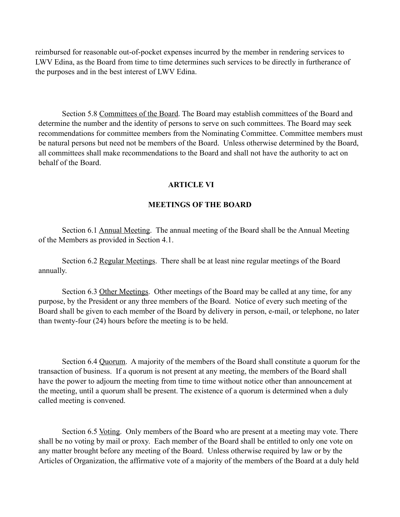reimbursed for reasonable out-of-pocket expenses incurred by the member in rendering services to LWV Edina, as the Board from time to time determines such services to be directly in furtherance of the purposes and in the best interest of LWV Edina.

Section 5.8 Committees of the Board. The Board may establish committees of the Board and determine the number and the identity of persons to serve on such committees. The Board may seek recommendations for committee members from the Nominating Committee. Committee members must be natural persons but need not be members of the Board. Unless otherwise determined by the Board, all committees shall make recommendations to the Board and shall not have the authority to act on behalf of the Board.

# **ARTICLE VI**

# **MEETINGS OF THE BOARD**

Section 6.1 Annual Meeting. The annual meeting of the Board shall be the Annual Meeting of the Members as provided in Section 4.1.

Section 6.2 Regular Meetings. There shall be at least nine regular meetings of the Board annually.

Section 6.3 Other Meetings. Other meetings of the Board may be called at any time, for any purpose, by the President or any three members of the Board. Notice of every such meeting of the Board shall be given to each member of the Board by delivery in person, e-mail, or telephone, no later than twenty-four (24) hours before the meeting is to be held.

Section 6.4 Quorum. A majority of the members of the Board shall constitute a quorum for the transaction of business. If a quorum is not present at any meeting, the members of the Board shall have the power to adjourn the meeting from time to time without notice other than announcement at the meeting, until a quorum shall be present. The existence of a quorum is determined when a duly called meeting is convened.

Section 6.5 Voting. Only members of the Board who are present at a meeting may vote. There shall be no voting by mail or proxy. Each member of the Board shall be entitled to only one vote on any matter brought before any meeting of the Board. Unless otherwise required by law or by the Articles of Organization, the affirmative vote of a majority of the members of the Board at a duly held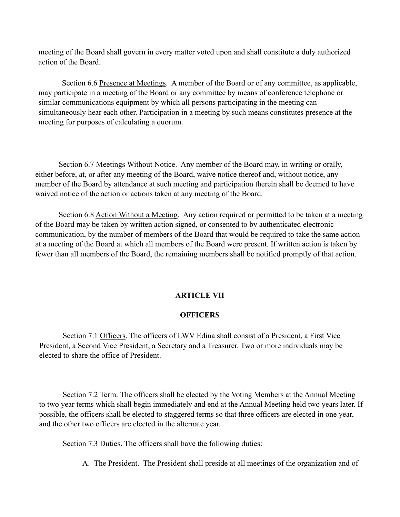meeting of the Board shall govern in every matter voted upon and shall constitute a duly authorized action of the Board.

Section 6.6 Presence at Meetings. A member of the Board or of any committee, as applicable, may participate in a meeting of the Board or any committee by means of conference telephone or similar communications equipment by which all persons participating in the meeting can simultaneously hear each other. Participation in a meeting by such means constitutes presence at the meeting for purposes of calculating a quorum.

Section 6.7 Meetings Without Notice. Any member of the Board may, in writing or orally, either before, at, or after any meeting of the Board, waive notice thereof and, without notice, any member of the Board by attendance at such meeting and participation therein shall be deemed to have waived notice of the action or actions taken at any meeting of the Board.

Section 6.8 Action Without a Meeting. Any action required or permitted to be taken at a meeting of the Board may be taken by written action signed, or consented to by authenticated electronic communication, by the number of members of the Board that would be required to take the same action at a meeting of the Board at which all members of the Board were present. If written action is taken by fewer than all members of the Board, the remaining members shall be notified promptly of that action.

# **ARTICLE VII**

# **OFFICERS**

Section 7.1 Officers. The officers of LWV Edina shall consist of a President, a First Vice President, a Second Vice President, a Secretary and a Treasurer. Two or more individuals may be elected to share the office of President.

Section 7.2 Term. The officers shall be elected by the Voting Members at the Annual Meeting to two year terms which shall begin immediately and end at the Annual Meeting held two years later. If possible, the officers shall be elected to staggered terms so that three officers are elected in one year, and the other two officers are elected in the alternate year.

Section 7.3 Duties. The officers shall have the following duties:

A. The President. The President shall preside at all meetings of the organization and of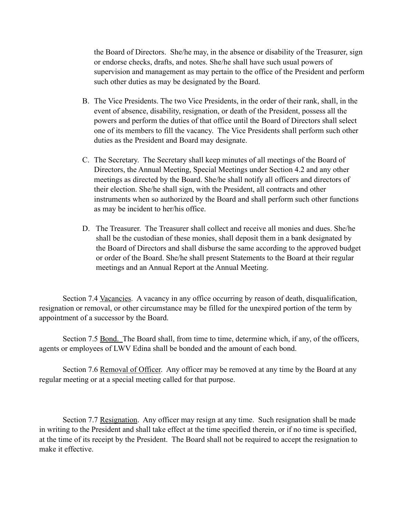the Board of Directors. She/he may, in the absence or disability of the Treasurer, sign or endorse checks, drafts, and notes. She/he shall have such usual powers of supervision and management as may pertain to the office of the President and perform such other duties as may be designated by the Board.

- B. The Vice Presidents. The two Vice Presidents, in the order of their rank, shall, in the event of absence, disability, resignation, or death of the President, possess all the powers and perform the duties of that office until the Board of Directors shall select one of its members to fill the vacancy. The Vice Presidents shall perform such other duties as the President and Board may designate.
- C. The Secretary. The Secretary shall keep minutes of all meetings of the Board of Directors, the Annual Meeting, Special Meetings under Section 4.2 and any other meetings as directed by the Board. She/he shall notify all officers and directors of their election. She/he shall sign, with the President, all contracts and other instruments when so authorized by the Board and shall perform such other functions as may be incident to her/his office.
- D. The Treasurer. The Treasurer shall collect and receive all monies and dues. She/he shall be the custodian of these monies, shall deposit them in a bank designated by the Board of Directors and shall disburse the same according to the approved budget or order of the Board. She/he shall present Statements to the Board at their regular meetings and an Annual Report at the Annual Meeting.

Section 7.4 Vacancies. A vacancy in any office occurring by reason of death, disqualification, resignation or removal, or other circumstance may be filled for the unexpired portion of the term by appointment of a successor by the Board.

Section 7.5 Bond. The Board shall, from time to time, determine which, if any, of the officers, agents or employees of LWV Edina shall be bonded and the amount of each bond.

Section 7.6 Removal of Officer. Any officer may be removed at any time by the Board at any regular meeting or at a special meeting called for that purpose.

Section 7.7 Resignation. Any officer may resign at any time. Such resignation shall be made in writing to the President and shall take effect at the time specified therein, or if no time is specified, at the time of its receipt by the President. The Board shall not be required to accept the resignation to make it effective.